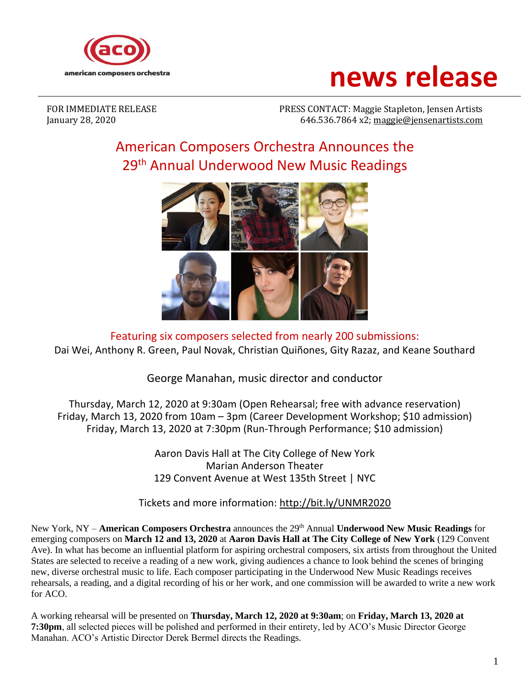

# **news release**

FOR IMMEDIATE RELEASE PRESS CONTACT: Maggie Stapleton, Jensen Artists January 28, 2020 646.536.7864 x2; [maggie@jensenartists.com](mailto:maggie@jensenartists.com)

## American Composers Orchestra Announces the 29<sup>th</sup> Annual Underwood New Music Readings



Featuring six composers selected from nearly 200 submissions: Dai Wei, Anthony R. Green, Paul Novak, Christian Quiñones, Gity Razaz, and Keane Southard

George Manahan, music director and conductor

Thursday, March 12, 2020 at 9:30am (Open Rehearsal; free with advance reservation) Friday, March 13, 2020 from 10am – 3pm (Career Development Workshop; \$10 admission) Friday, March 13, 2020 at 7:30pm (Run-Through Performance; \$10 admission)

> Aaron Davis Hall at The City College of New York Marian Anderson Theater 129 Convent Avenue at West 135th Street | NYC

#### Tickets and more information:<http://bit.ly/UNMR2020>

New York, NY – **American Composers Orchestra** announces the 29 th Annual **Underwood New Music Readings** for emerging composers on **March 12 and 13, 2020** at **Aaron Davis Hall at The City College of New York** (129 Convent Ave). In what has become an influential platform for aspiring orchestral composers, six artists from throughout the United States are selected to receive a reading of a new work, giving audiences a chance to look behind the scenes of bringing new, diverse orchestral music to life. Each composer participating in the Underwood New Music Readings receives rehearsals, a reading, and a digital recording of his or her work, and one commission will be awarded to write a new work for ACO.

A working rehearsal will be presented on **Thursday, March 12, 2020 at 9:30am**; on **Friday, March 13, 2020 at 7:30pm**, all selected pieces will be polished and performed in their entirety, led by ACO's Music Director George Manahan. ACO's Artistic Director Derek Bermel directs the Readings.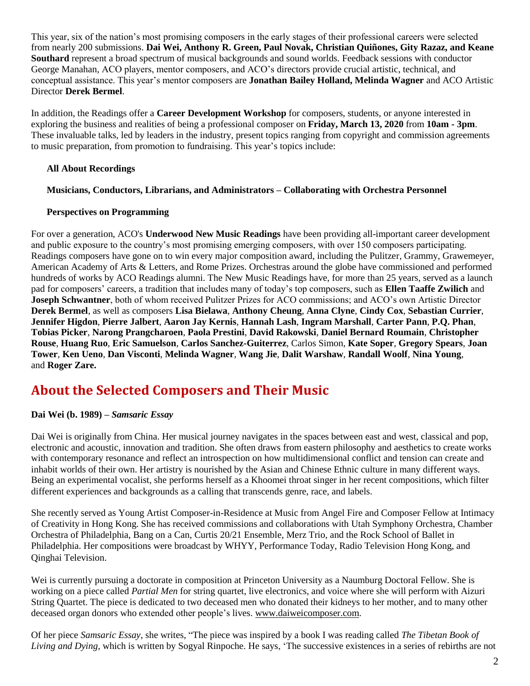This year, six of the nation's most promising composers in the early stages of their professional careers were selected from nearly 200 submissions. **Dai Wei, Anthony R. Green, Paul Novak, Christian Quiñones, Gity Razaz, and Keane Southard** represent a broad spectrum of musical backgrounds and sound worlds. Feedback sessions with conductor George Manahan, ACO players, mentor composers, and ACO's directors provide crucial artistic, technical, and conceptual assistance. This year's mentor composers are **Jonathan Bailey Holland, Melinda Wagner** and ACO Artistic Director **Derek Bermel**.

In addition, the Readings offer a **Career Development Workshop** for composers, students, or anyone interested in exploring the business and realities of being a professional composer on **Friday, March 13, 2020** from **10am - 3pm**. These invaluable talks, led by leaders in the industry, present topics ranging from copyright and commission agreements to music preparation, from promotion to fundraising. This year's topics include:

#### **All About Recordings**

#### **Musicians, Conductors, Librarians, and Administrators – Collaborating with Orchestra Personnel**

#### **Perspectives on Programming**

For over a generation, ACO's **Underwood New Music Readings** have been providing all-important career development and public exposure to the country's most promising emerging composers, with over 150 composers participating. Readings composers have gone on to win every major composition award, including the Pulitzer, Grammy, Grawemeyer, American Academy of Arts & Letters, and Rome Prizes. Orchestras around the globe have commissioned and performed hundreds of works by ACO Readings alumni. The New Music Readings have, for more than 25 years, served as a launch pad for composers' careers, a tradition that includes many of today's top composers, such as **Ellen Taaffe Zwilich** and **Joseph Schwantner**, both of whom received Pulitzer Prizes for ACO commissions; and ACO's own Artistic Director **Derek Bermel**, as well as composers **Lisa Bielawa**, **Anthony Cheung**, **Anna Clyne**, **Cindy Cox**, **Sebastian Currier**, **Jennifer Higdon**, **Pierre Jalbert**, **Aaron Jay Kernis**, **Hannah Lash**, **Ingram Marshall**, **Carter Pann**, **P.Q. Phan**, **Tobias Picker**, **Narong Prangcharoen**, **Paola Prestini**, **David Rakowski**, **Daniel Bernard Roumain**, **Christopher Rouse**, **Huang Ruo**, **Eric Samuelson**, **Carlos Sanchez-Guiterrez**, Carlos Simon, **Kate Soper**, **Gregory Spears**, **Joan Tower**, **Ken Ueno**, **Dan Visconti**, **Melinda Wagner**, **Wang Jie**, **Dalit Warshaw**, **Randall Woolf**, **Nina Young**, and **Roger Zare.**

### **About the Selected Composers and Their Music**

#### **Dai Wei (b. 1989) –** *Samsaric Essay*

Dai Wei is originally from China. Her musical journey navigates in the spaces between east and west, classical and pop, electronic and acoustic, innovation and tradition. She often draws from eastern philosophy and aesthetics to create works with contemporary resonance and reflect an introspection on how multidimensional conflict and tension can create and inhabit worlds of their own. Her artistry is nourished by the Asian and Chinese Ethnic culture in many different ways. Being an experimental vocalist, she performs herself as a Khoomei throat singer in her recent compositions, which filter different experiences and backgrounds as a calling that transcends genre, race, and labels.

She recently served as Young Artist Composer-in-Residence at Music from Angel Fire and Composer Fellow at Intimacy of Creativity in Hong Kong. She has received commissions and collaborations with Utah Symphony Orchestra, Chamber Orchestra of Philadelphia, Bang on a Can, Curtis 20/21 Ensemble, Merz Trio, and the Rock School of Ballet in Philadelphia. Her compositions were broadcast by WHYY, Performance Today, Radio Television Hong Kong, and Qinghai Television.

Wei is currently pursuing a doctorate in composition at Princeton University as a Naumburg Doctoral Fellow. She is working on a piece called *Partial Men* for string quartet, live electronics, and voice where she will perform with Aizuri String Quartet. The piece is dedicated to two deceased men who donated their kidneys to her mother, and to many other deceased organ donors who extended other people's lives. [www.daiweicomposer.com.](http://www.daiweicomposer.com/)

Of her piece *Samsaric Essay*, she writes, "The piece was inspired by a book I was reading called *The Tibetan Book of Living and Dying*, which is written by Sogyal Rinpoche. He says, 'The successive existences in a series of rebirths are not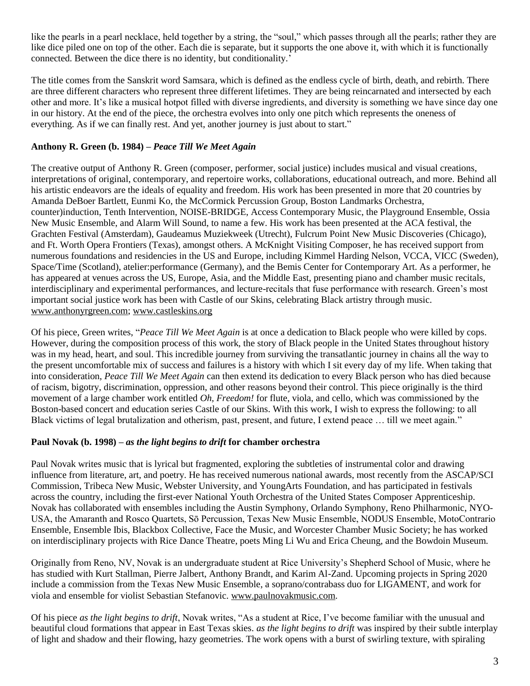like the pearls in a pearl necklace, held together by a string, the "soul," which passes through all the pearls; rather they are like dice piled one on top of the other. Each die is separate, but it supports the one above it, with which it is functionally connected. Between the dice there is no identity, but conditionality*.*'

The title comes from the Sanskrit word Samsara, which is defined as the endless cycle of birth, death, and rebirth. There are three different characters who represent three different lifetimes. They are being reincarnated and intersected by each other and more. It's like a musical hotpot filled with diverse ingredients, and diversity is something we have since day one in our history. At the end of the piece, the orchestra evolves into only one pitch which represents the oneness of everything. As if we can finally rest. And yet, another journey is just about to start."

#### **Anthony R. Green (b. 1984) –** *Peace Till We Meet Again*

The creative output of Anthony R. Green (composer, performer, social justice) includes musical and visual creations, interpretations of original, contemporary, and repertoire works, collaborations, educational outreach, and more. Behind all his artistic endeavors are the ideals of equality and freedom. His work has been presented in more that 20 countries by Amanda DeBoer Bartlett, Eunmi Ko, the McCormick Percussion Group, Boston Landmarks Orchestra, counter)induction, Tenth Intervention, NOISE-BRIDGE, Access Contemporary Music, the Playground Ensemble, Ossia New Music Ensemble, and Alarm Will Sound, to name a few. His work has been presented at the ACA festival, the Grachten Festival (Amsterdam), Gaudeamus Muziekweek (Utrecht), Fulcrum Point New Music Discoveries (Chicago), and Ft. Worth Opera Frontiers (Texas), amongst others. A McKnight Visiting Composer, he has received support from numerous foundations and residencies in the US and Europe, including Kimmel Harding Nelson, VCCA, VICC (Sweden), Space/Time (Scotland), atelier:performance (Germany), and the Bemis Center for Contemporary Art. As a performer, he has appeared at venues across the US, Europe, Asia, and the Middle East, presenting piano and chamber music recitals, interdisciplinary and experimental performances, and lecture-recitals that fuse performance with research. Green's most important social justice work has been with Castle of our Skins, celebrating Black artistry through music. [www.anthonyrgreen.com;](http://www.anthonyrgreen.com/) [www.castleskins.org](http://www.castleskins.org/)

Of his piece, Green writes, "*Peace Till We Meet Again* is at once a dedication to Black people who were killed by cops. However, during the composition process of this work, the story of Black people in the United States throughout history was in my head, heart, and soul. This incredible journey from surviving the transatlantic journey in chains all the way to the present uncomfortable mix of success and failures is a history with which I sit every day of my life. When taking that into consideration, *Peace Till We Meet Again* can then extend its dedication to every Black person who has died because of racism, bigotry, discrimination, oppression, and other reasons beyond their control. This piece originally is the third movement of a large chamber work entitled *Oh, Freedom!* for flute, viola, and cello, which was commissioned by the Boston-based concert and education series Castle of our Skins. With this work, I wish to express the following: to all Black victims of legal brutalization and otherism, past, present, and future, I extend peace … till we meet again."

#### **Paul Novak (b. 1998) –** *as the light begins to drift* **for chamber orchestra**

Paul Novak writes music that is lyrical but fragmented, exploring the subtleties of instrumental color and drawing influence from literature, art, and poetry. He has received numerous national awards, most recently from the ASCAP/SCI Commission, Tribeca New Music, Webster University, and YoungArts Foundation, and has participated in festivals across the country, including the first-ever National Youth Orchestra of the United States Composer Apprenticeship. Novak has collaborated with ensembles including the Austin Symphony, Orlando Symphony, Reno Philharmonic, NYO-USA, the Amaranth and Rosco Quartets, Sō Percussion, Texas New Music Ensemble, NODUS Ensemble, MotoContrario Ensemble, Ensemble Ibis, Blackbox Collective, Face the Music, and Worcester Chamber Music Society; he has worked on interdisciplinary projects with Rice Dance Theatre, poets Ming Li Wu and Erica Cheung, and the Bowdoin Museum.

Originally from Reno, NV, Novak is an undergraduate student at Rice University's Shepherd School of Music, where he has studied with Kurt Stallman, Pierre Jalbert, Anthony Brandt, and Karim Al-Zand. Upcoming projects in Spring 2020 include a commission from the Texas New Music Ensemble, a soprano/contrabass duo for LIGAMENT, and work for viola and ensemble for violist Sebastian Stefanovic. [www.paulnovakmusic.com.](http://www.paulnovakmusic.com/)

Of his piece *as the light begins to drift*, Novak writes, "As a student at Rice, I've become familiar with the unusual and beautiful cloud formations that appear in East Texas skies. *as the light begins to drift* was inspired by their subtle interplay of light and shadow and their flowing, hazy geometries. The work opens with a burst of swirling texture, with spiraling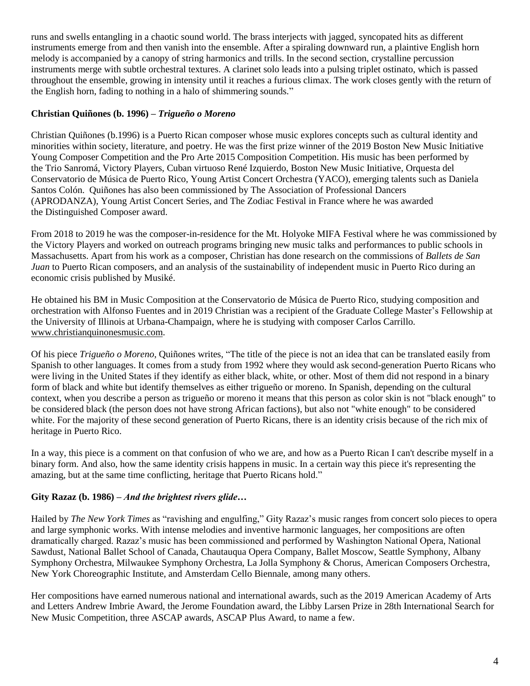runs and swells entangling in a chaotic sound world. The brass interjects with jagged, syncopated hits as different instruments emerge from and then vanish into the ensemble. After a spiraling downward run, a plaintive English horn melody is accompanied by a canopy of string harmonics and trills. In the second section, crystalline percussion instruments merge with subtle orchestral textures. A clarinet solo leads into a pulsing triplet ostinato, which is passed throughout the ensemble, growing in intensity until it reaches a furious climax. The work closes gently with the return of the English horn, fading to nothing in a halo of shimmering sounds."

#### **Christian Quiñones (b. 1996) –** *Trigueño o Moreno*

Christian Quiñones (b.1996) is a Puerto Rican composer whose music explores concepts such as cultural identity and minorities within society, literature, and poetry. He was the first prize winner of the 2019 Boston New Music Initiative Young Composer Competition and the Pro Arte 2015 Composition Competition. His music has been performed by the Trio Sanromá, Victory Players, Cuban virtuoso René Izquierdo, Boston New Music Initiative, Orquesta del Conservatorio de Música de Puerto Rico, Young Artist Concert Orchestra (YACO), emerging talents such as Daniela Santos Colón. Quiñones has also been commissioned by The Association of Professional Dancers (APRODANZA), Young Artist Concert Series, and The Zodiac Festival in France where he was awarded the Distinguished Composer award.

From 2018 to 2019 he was the composer-in-residence for the Mt. Holyoke MIFA Festival where he was commissioned by the Victory Players and worked on outreach programs bringing new music talks and performances to public schools in Massachusetts. Apart from his work as a composer, Christian has done research on the commissions of *Ballets de San Juan* to Puerto Rican composers, and an analysis of the sustainability of independent music in Puerto Rico during an economic crisis published by Musiké.

He obtained his BM in Music Composition at the Conservatorio de Música de Puerto Rico*,* studying composition and orchestration with Alfonso Fuentes and in 2019 Christian was a recipient of the Graduate College Master's Fellowship at the University of Illinois at Urbana-Champaign, where he is studying with composer Carlos Carrillo. [www.christianquinonesmusic.com.](http://www.christianquinonesmusic.com/)

Of his piece *Trigueño o Moreno*, Quiñones writes, "The title of the piece is not an idea that can be translated easily from Spanish to other languages. It comes from a study from 1992 where they would ask second-generation Puerto Ricans who were living in the United States if they identify as either black, white, or other. Most of them did not respond in a binary form of black and white but identify themselves as either trigueño or moreno. In Spanish, depending on the cultural context, when you describe a person as trigueño or moreno it means that this person as color skin is not "black enough" to be considered black (the person does not have strong African factions), but also not "white enough" to be considered white. For the majority of these second generation of Puerto Ricans, there is an identity crisis because of the rich mix of heritage in Puerto Rico.

In a way, this piece is a comment on that confusion of who we are, and how as a Puerto Rican I can't describe myself in a binary form. And also, how the same identity crisis happens in music. In a certain way this piece it's representing the amazing, but at the same time conflicting, heritage that Puerto Ricans hold."

#### **Gity Razaz (b. 1986) –** *And the brightest rivers glide…*

Hailed by *The New York Times* as "ravishing and engulfing," Gity Razaz's music ranges from concert solo pieces to opera and large symphonic works. With intense melodies and inventive harmonic languages, her compositions are often dramatically charged. Razaz's music has been commissioned and performed by Washington National Opera, National Sawdust, National Ballet School of Canada, Chautauqua Opera Company, Ballet Moscow, Seattle Symphony, Albany Symphony Orchestra, Milwaukee Symphony Orchestra, La Jolla Symphony & Chorus, American Composers Orchestra, New York Choreographic Institute, and Amsterdam Cello Biennale, among many others.

Her compositions have earned numerous national and international awards, such as the 2019 American Academy of Arts and Letters Andrew Imbrie Award, the Jerome Foundation award, the Libby Larsen Prize in 28th International Search for New Music Competition, three ASCAP awards, ASCAP Plus Award, to name a few.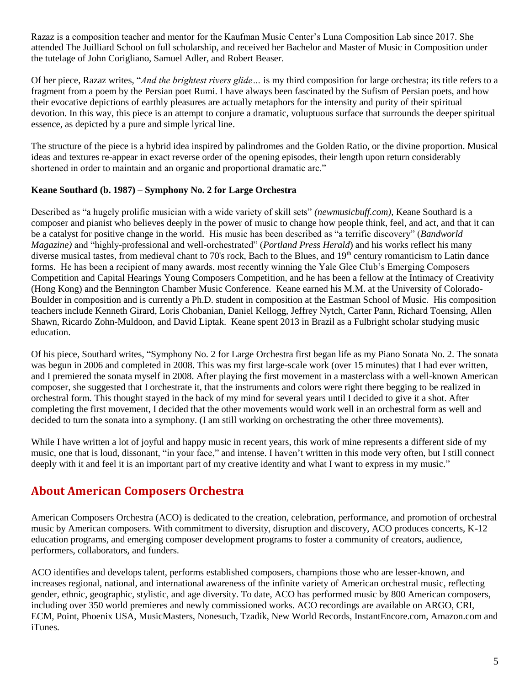Razaz is a composition teacher and mentor for the Kaufman Music Center's Luna Composition Lab since 2017. She attended The Juilliard School on full scholarship, and received her Bachelor and Master of Music in Composition under the tutelage of John Corigliano, Samuel Adler, and Robert Beaser.

Of her piece, Razaz writes, "*And the brightest rivers glide…* is my third composition for large orchestra; its title refers to a fragment from a poem by the Persian poet Rumi. I have always been fascinated by the Sufism of Persian poets, and how their evocative depictions of earthly pleasures are actually metaphors for the intensity and purity of their spiritual devotion. In this way, this piece is an attempt to conjure a dramatic, voluptuous surface that surrounds the deeper spiritual essence, as depicted by a pure and simple lyrical line.

The structure of the piece is a hybrid idea inspired by palindromes and the Golden Ratio, or the divine proportion. Musical ideas and textures re-appear in exact reverse order of the opening episodes, their length upon return considerably shortened in order to maintain and an organic and proportional dramatic arc."

#### **Keane Southard (b. 1987) – Symphony No. 2 for Large Orchestra**

Described as "a hugely prolific musician with a wide variety of skill sets" *(newmusicbuff.com)*, Keane Southard is a composer and pianist who believes deeply in the power of music to change how people think, feel, and act, and that it can be a catalyst for positive change in the world. His music has been described as "a terrific discovery" (*Bandworld Magazine)* and "highly-professional and well-orchestrated" (*Portland Press Herald*) and his works reflect his many diverse musical tastes, from medieval chant to 70's rock, Bach to the Blues, and 19<sup>th</sup> century romanticism to Latin dance forms. He has been a recipient of many awards, most recently winning the Yale Glee Club's Emerging Composers Competition and Capital Hearings Young Composers Competition, and he has been a fellow at the Intimacy of Creativity (Hong Kong) and the Bennington Chamber Music Conference. Keane earned his M.M. at the University of Colorado-Boulder in composition and is currently a Ph.D. student in composition at the Eastman School of Music. His composition teachers include Kenneth Girard, Loris Chobanian, Daniel Kellogg, Jeffrey Nytch, Carter Pann, Richard Toensing, Allen Shawn, Ricardo Zohn-Muldoon, and David Liptak. Keane spent 2013 in Brazil as a Fulbright scholar studying music education.

Of his piece, Southard writes, "Symphony No. 2 for Large Orchestra first began life as my Piano Sonata No. 2. The sonata was begun in 2006 and completed in 2008. This was my first large-scale work (over 15 minutes) that I had ever written, and I premiered the sonata myself in 2008. After playing the first movement in a masterclass with a well-known American composer, she suggested that I orchestrate it, that the instruments and colors were right there begging to be realized in orchestral form. This thought stayed in the back of my mind for several years until I decided to give it a shot. After completing the first movement, I decided that the other movements would work well in an orchestral form as well and decided to turn the sonata into a symphony. (I am still working on orchestrating the other three movements).

While I have written a lot of joyful and happy music in recent years, this work of mine represents a different side of my music, one that is loud, dissonant, "in your face," and intense. I haven't written in this mode very often, but I still connect deeply with it and feel it is an important part of my creative identity and what I want to express in my music."

#### **About American Composers Orchestra**

American Composers Orchestra (ACO) is dedicated to the creation, celebration, performance, and promotion of orchestral music by American composers. With commitment to diversity, disruption and discovery, ACO produces concerts, K-12 education programs, and emerging composer development programs to foster a community of creators, audience, performers, collaborators, and funders.

ACO identifies and develops talent, performs established composers, champions those who are lesser-known, and increases regional, national, and international awareness of the infinite variety of American orchestral music, reflecting gender, ethnic, geographic, stylistic, and age diversity. To date, ACO has performed music by 800 American composers, including over 350 world premieres and newly commissioned works. ACO recordings are available on ARGO, CRI, ECM, Point, Phoenix USA, MusicMasters, Nonesuch, Tzadik, New World Records, InstantEncore.com, Amazon.com and iTunes.